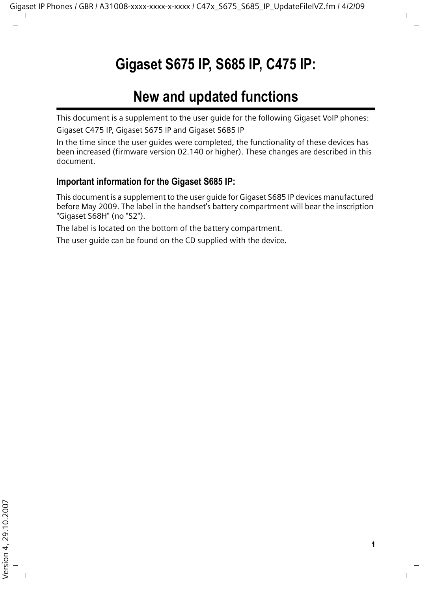# **Gigaset S675 IP, S685 IP, C475 IP:**

# **New and updated functions**

This document is a supplement to the user guide for the following Gigaset VoIP phones: Gigaset C475 IP, Gigaset S675 IP and Gigaset S685 IP

In the time since the user guides were completed, the functionality of these devices has been increased (firmware version 02.140 or higher). These changes are described in this document.

## **Important information for the Gigaset S685 IP:**

This document is a supplement to the user guide for Gigaset S685 IP devices manufactured before May 2009. The label in the handset's battery compartment will bear the inscription "Gigaset S68H" (no "S2").

The label is located on the bottom of the battery compartment.

The user guide can be found on the CD supplied with the device.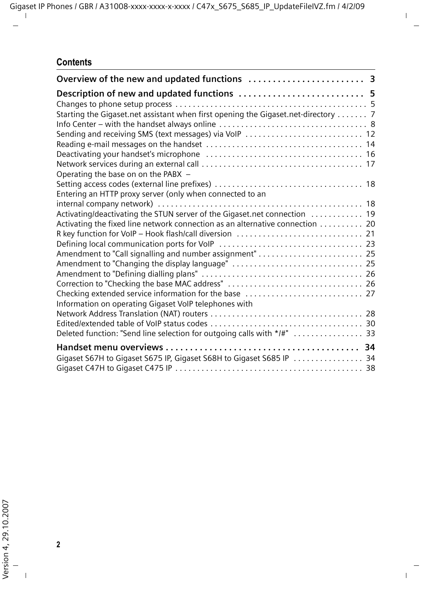## **Contents**

| Description of new and updated functions  5                                        |  |
|------------------------------------------------------------------------------------|--|
|                                                                                    |  |
| Starting the Gigaset.net assistant when first opening the Gigaset.net-directory  7 |  |
|                                                                                    |  |
| Sending and receiving SMS (text messages) via VoIP  12                             |  |
|                                                                                    |  |
|                                                                                    |  |
|                                                                                    |  |
| Operating the base on on the PABX -                                                |  |
|                                                                                    |  |
| Entering an HTTP proxy server (only when connected to an                           |  |
|                                                                                    |  |
| Activating/deactivating the STUN server of the Gigaset.net connection  19          |  |
| Activating the fixed line network connection as an alternative connection  20      |  |
|                                                                                    |  |
|                                                                                    |  |
| Amendment to "Call signalling and number assignment"  25                           |  |
|                                                                                    |  |
|                                                                                    |  |
|                                                                                    |  |
|                                                                                    |  |
| Information on operating Gigaset VoIP telephones with                              |  |
|                                                                                    |  |
|                                                                                    |  |
| Deleted function: "Send line selection for outgoing calls with */#"  33            |  |
|                                                                                    |  |
| Gigaset S67H to Gigaset S675 IP, Gigaset S68H to Gigaset S685 IP  34               |  |
|                                                                                    |  |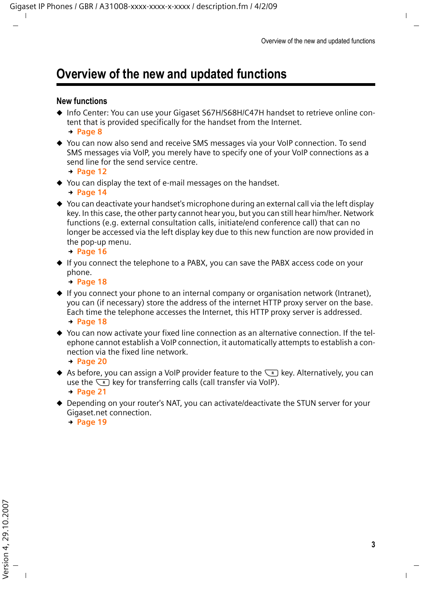# <span id="page-2-0"></span>**Overview of the new and updated functions**

### **New functions**

◆ Info Center: You can use your Gigaset S67H/S68H/C47H handset to retrieve online content that is provided specifically for the handset from the Internet.

£ **[Page 8](#page-7-0)**

◆ You can now also send and receive SMS messages via your VoIP connection. To send SMS messages via VoIP, you merely have to specify one of your VoIP connections as a send line for the send service centre.

£ **[Page 12](#page-11-0)**

- $\blacklozenge$  You can display the text of e-mail messages on the handset. **→ [Page 14](#page-13-0)**
- $\rightarrow$  You can deactivate your handset's microphone during an external call via the left display key. In this case, the other party cannot hear you, but you can still hear him/her. Network functions (e.g. external consultation calls, initiate/end conference call) that can no longer be accessed via the left display key due to this new function are now provided in the pop-up menu.

£ **[Page 16](#page-15-0)**

♦ If you connect the telephone to a PABX, you can save the PABX access code on your phone.

£ **[Page 18](#page-17-0)**

- $\blacklozenge$  If you connect your phone to an internal company or organisation network (Intranet), you can (if necessary) store the address of the internet HTTP proxy server on the base. Each time the telephone accesses the Internet, this HTTP proxy server is addressed.  $→$  **[Page 18](#page-17-1)**
- $\blacklozenge$  You can now activate your fixed line connection as an alternative connection. If the telephone cannot establish a VoIP connection, it automatically attempts to establish a connection via the fixed line network.

£ **[Page 20](#page-19-0)**

 $\triangle$  As before, you can assign a VoIP provider feature to the  $\overline{\binom{n}{k}}$  key. Alternatively, you can use the  $\overline{\mathbb{R}}$  key for transferring calls (call transfer via VoIP).

£ **[Page 21](#page-20-0)**

◆ Depending on your router's NAT, you can activate/deactivate the STUN server for your Gigaset.net connection.

£ **[Page 19](#page-18-0)**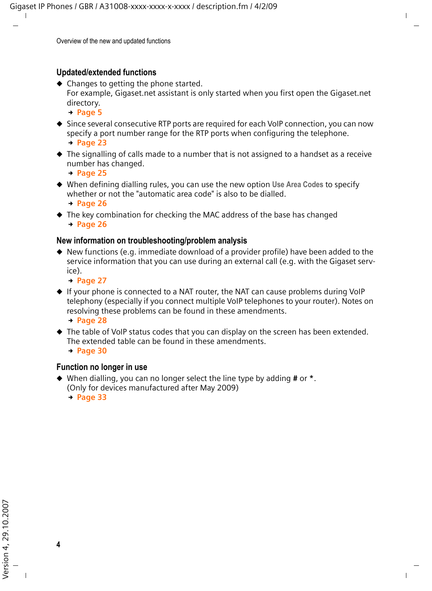### **Updated/extended functions**

 $\blacklozenge$  Changes to getting the phone started. For example, Gigaset.net assistant is only started when you first open the Gigaset.net [directory.](#page-4-1)

£ **Page 5**

- ◆ Since several consecutive RTP ports are required for each VoIP connection, you can now specify a port number range for the RTP ports when configuring the telephone. £ **[Page 23](#page-22-0)**
- $\blacklozenge$  The signalling of calls made to a number that is not assigned to a handset as a receive [number has](#page-24-0) changed.

**→ Page 25** 

u When defining dialling rules, you can use the new option **Use Area Codes** to specify whether or not the "automatic area code" is also to be dialled.

**→ [Page 26](#page-25-0)** 

 $\triangle$  The key combination for checking the MAC address of the base has changed £ **[Page 26](#page-25-1)**

### **New information on troubleshooting/problem analysis**

 $\blacklozenge$  New functions (e.g. immediate download of a provider profile) have been added to the service information that you can use during an external call (e.g. with the Gigaset service).

£ **[Page 27](#page-26-0)**

 $\bullet$  If your phone is connected to a NAT router, the NAT can cause problems during VoIP telephony (especially if you connect multiple VoIP telephones to your router). Notes on resolving these problems can be found in these amendments.

£ **[Page 28](#page-27-0)**

 $\blacklozenge$  The table of VoIP status codes that you can display on the screen has been extended. [The extende](#page-29-0)d table can be found in these amendments.

£ **Page 30**

#### **Function no longer in use**

- ◆ When dialling, you can no longer select the line type by adding # or **\***. (Only for devices manufactured after May 2009)
	- £ **[Page 33](#page-32-0)**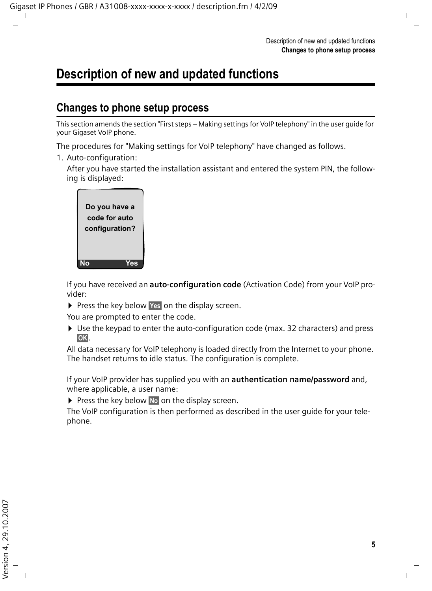# <span id="page-4-0"></span>**Description of new and updated functions**

# <span id="page-4-1"></span>**Changes to phone setup process**

This section amends the section "First steps – Making settings for VoIP telephony" in the user guide for your Gigaset VoIP phone.

The procedures for "Making settings for VoIP telephony" have changed as follows.

1. Auto-configuration:

After you have started the installation assistant and entered the system PIN, the following is displayed:



If you have received an **auto-configuration code** (Activation Code) from your VoIP provider:

▶ Press the key below Yes on the display screen.

You are prompted to enter the code.

 $\triangleright$  Use the keypad to enter the auto-configuration code (max. 32 characters) and press §OK§.

All data necessary for VoIP telephony is loaded directly from the Internet to your phone. The handset returns to idle status. The configuration is complete.

If your VoIP provider has supplied you with an **authentication name/password** and, where applicable, a user name:

 $\triangleright$  Press the key below  $\lfloor N_0 \rfloor$  on the display screen.

The VoIP configuration is then performed as described in the user guide for your telephone.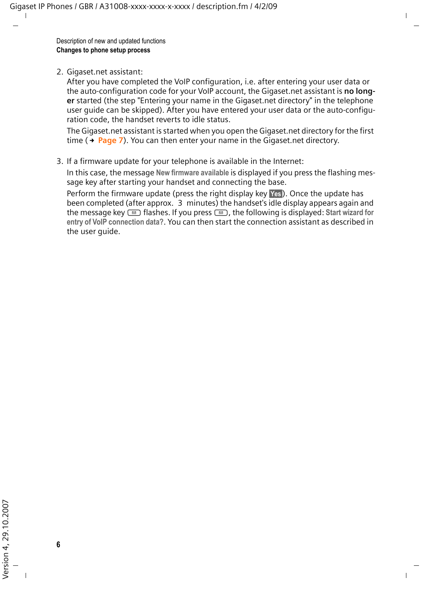#### 2. Gigaset.net assistant:

After you have completed the VoIP configuration, i.e. after entering your user data or the auto-configuration code for your VoIP account, the Gigaset.net assistant is **no longer** started (the step "Entering your name in the Gigaset.net directory" in the telephone user guide can be skipped). After you have entered your user data or the auto-configuration code, the handset reverts to idle status.

The [Gigaset.net a](#page-6-0)ssistant is started when you open the Gigaset.net directory for the first time  $(4$  **Page 7**). You can then enter your name in the Gigaset net directory.

#### 3. If a firmware update for your telephone is available in the Internet:

In this case, the message **New firmware available** is displayed if you press the flashing message key after starting your handset and connecting the base.

Perform the firmware update (press the right display key  $\gamma_{\text{CS}}$ ). Once the update has been completed (after approx. 3 minutes) the handset's idle display appears again and the message key  $\equiv$  flashes. If you press  $\equiv$  , the following is displayed: Start wizard for **entry of VoIP connection data?**. You can then start the connection assistant as described in the user guide.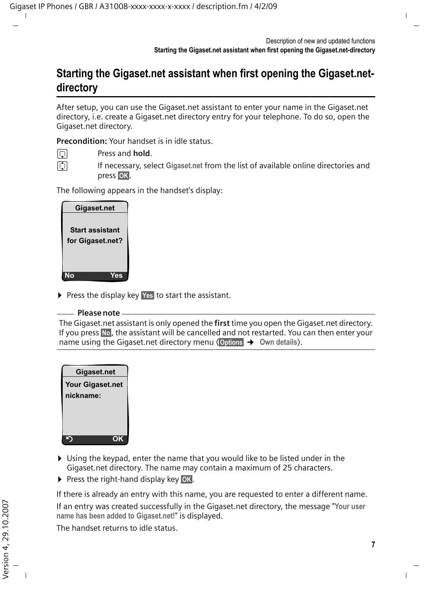# <span id="page-6-0"></span>**Starting the Gigaset.net assistant when first opening the Gigaset.netdirectory**

After setup, you can use the Gigaset.net assistant to enter your name in the Gigaset.net directory, i.e. create a Gigaset.net directory entry for your telephone. To do so, open the Gigaset.net directory.

**Precondition:** Your handset is in idle status.



s Press and **hold**.

q If necessary, select **Gigaset.net** from the list of available online directories and press **OK** 

The following appears in the handset's display:

| Gigaset.net            |
|------------------------|
| <b>Start assistant</b> |
| for Gigaset.net?       |
|                        |
| N٥                     |

 $\triangleright$  Press the display key Yes to start the assistant.

#### **Please note**

The Gigaset.net assistant is only opened the **first** time you open the Gigaset.net directory. If you press  $\mathbb{N}_{\mathbb{Q}}$ , the assistant will be cancelled and not restarted. You can then enter your name using the Gigaset.net directory menu (Options → Own details).



- $\triangleright$  Using the keypad, enter the name that you would like to be listed under in the Gigaset.net directory. The name may contain a maximum of 25 characters.
- $\triangleright$  Press the right-hand display key OK.

If there is already an entry with this name, you are requested to enter a different name.

If an entry was created successfully in the Gigaset.net directory, the message "**Your user name has been added to Gigaset.net!**" is displayed.

The handset returns to idle status.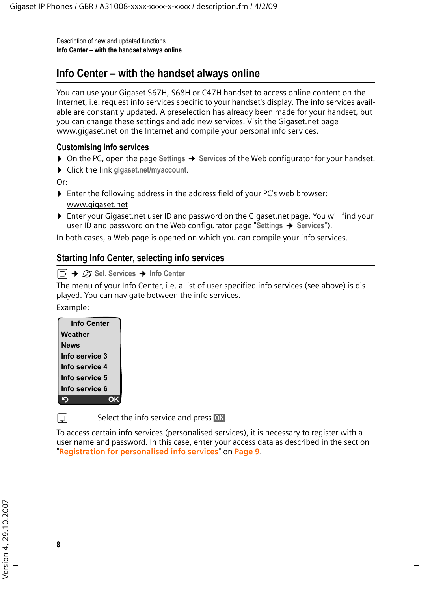# <span id="page-7-1"></span><span id="page-7-0"></span>**Info Center – with the handset always online**

You can use your Gigaset S67H, S68H or C47H handset to access online content on the Internet, i.e. request info services specific to your handset's display. The info services available are constantly updated. A preselection has already been made for your handset, but you can change these settings and add new services. Visit the Gigaset.net page <www.gigaset.net> on the Internet and compile your personal info services.

### **Customising info services**

- ▶ On the PC, open the page Settings → Services of the Web configurator for your handset.
- ¤ Click the link **gigaset.net/myaccount**.

Or:

- $\triangleright$  Enter the following address in the address field of your PC's web browser: <www.gigaset.net>
- ▶ Enter your Gigaset.net user ID and password on the Gigaset.net page. You will find your user ID and password on the Web configurator page "**Settings** ¢ **Services**").

In both cases, a Web page is opened on which you can compile your info services.

## **Starting Info Center, selecting info services**

 $\Box$  **→**  $\Im$  **Sel. Services → Info Center** 

The menu of your Info Center, i.e. a list of user-specified info services (see above) is displayed. You can navigate between the info services.

Example:

| <b>Info Center</b> |
|--------------------|
| Weather            |
| <b>News</b>        |
| Info service 3     |
| Info service 4     |
| Info service 5     |
| Info service 6     |
|                    |

 $\Box$  Select the info service and press  $\Box$ K.

To access certain info services (personalised services), it is necessary to register with a user name and password. In this case, enter your access data as described in the section "**[Registration for personalised info services](#page-8-0)**" on **[Page 9](#page-8-0)**.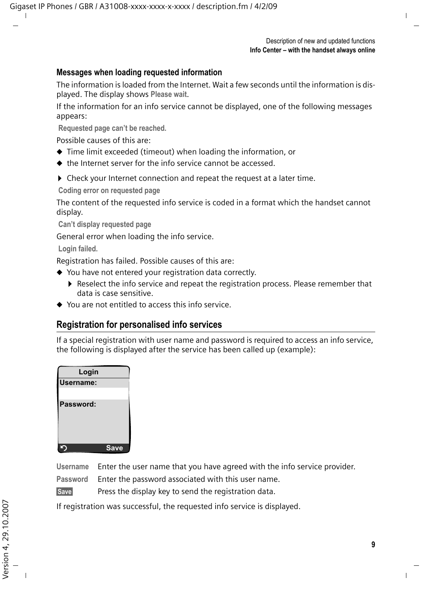### <span id="page-8-1"></span>**Messages when loading requested information**

The information is loaded from the Internet. Wait a few seconds until the information is displayed. The display shows **Please wait**.

If the information for an info service cannot be displayed, one of the following messages appears:

 **Requested page can't be reached.**

Possible causes of this are:

- $\blacklozenge$  Time limit exceeded (timeout) when loading the information, or
- $\blacklozenge$  the Internet server for the info service cannot be accessed.
- $\blacktriangleright$  Check your Internet connection and repeat the request at a later time.

 **Coding error on requested page**

The content of the requested info service is coded in a format which the handset cannot display.

 **Can't display requested page**

General error when loading the info service.

 **Login failed.**

Registration has failed. Possible causes of this are:

- $\blacklozenge$  You have not entered your registration data correctly.
	- $\blacktriangleright$  Reselect the info service and repeat the registration process. Please remember that data is case sensitive.
- $\triangle$  You are not entitled to access this info service.

## <span id="page-8-0"></span>**Registration for personalised info services**

If a special registration with user name and password is required to access an info service, the following is displayed after the service has been called up (example):



**Username** Enter the user name that you have agreed with the info service provider.

**Password** Enter the password associated with this user name.

Save Press the display key to send the registration data.

If registration was successful, the requested info service is displayed.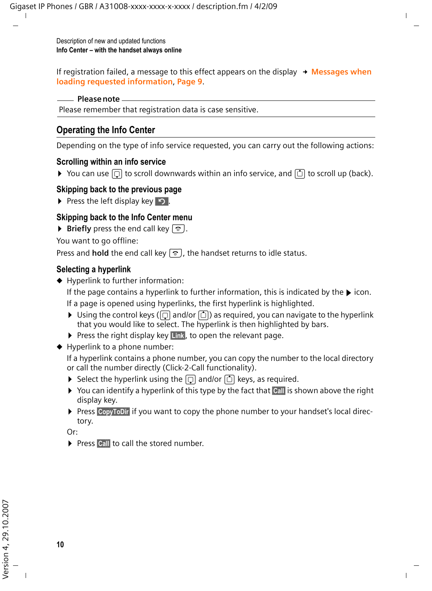If registration failed, a message to this effect appears on the display → Messages when **[loading requested information](#page-8-1)**, **[Page 9](#page-8-1)**.

#### **Please note**

Please remember that registration data is case sensitive.

## **Operating the Info Center**

Depending on the type of info service requested, you can carry out the following actions:

### **Scrolling within an info service**

 $\blacktriangleright$  You can use  $\Box$  to scroll downwards within an info service, and  $\Box$  to scroll up (back).

### **Skipping back to the previous page**

 $\triangleright$  Press the left display key  $\triangleright$ .

### **Skipping back to the Info Center menu**

 $\triangleright$  **Briefly** press the end call key  $\lceil \cdot \cdot \rceil$ .

You want to go offline:

Press and **hold** the end call key  $\sqrt{\infty}$ , the handset returns to idle status.

### **Selecting a hyperlink**

 $\blacklozenge$  Hyperlink to further information:

If the page contains a hyperlink to further information, this is indicated by the  $\blacktriangleright$  icon.

If a page is opened using hyperlinks, the first hyperlink is highlighted.

- $\triangleright$  Using the control keys ( $\Box$  and/or  $\Box$ ) as required, you can navigate to the hyperlink that you would like to select. The hyperlink is then highlighted by bars.
- $\triangleright$  Press the right display key **Link**, to open the relevant page.
- $\blacklozenge$  Hyperlink to a phone number:

If a hyperlink contains a phone number, you can copy the number to the local directory or call the number directly (Click-2-Call functionality).

- ▶ Select the hyperlink using the  $\Box$  and/or  $\Box$  keys, as required.
- $\triangleright$  You can identify a hyperlink of this type by the fact that  $\mathsf{Call}$  is shown above the right display key.
- ▶ Press CopyToDir if you want to copy the phone number to your handset's local directory.

Or:

▶ Press Call to call the stored number.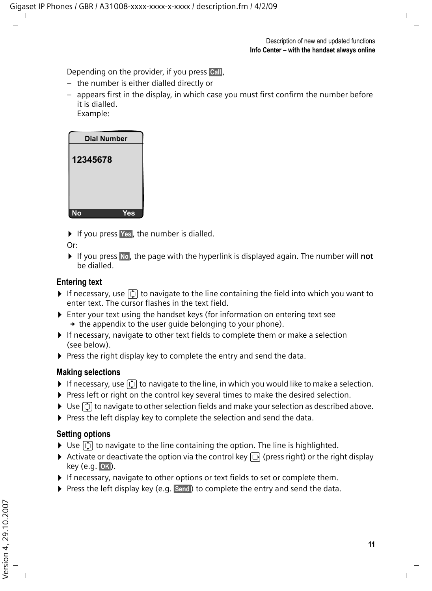Depending on the provider, if you press Call.

- the number is either dialled directly or
- appears first in the display, in which case you must first confirm the number before it is dialled. Example:

| <b>Dial Number</b> |           |
|--------------------|-----------|
| 12345678           |           |
|                    |           |
|                    |           |
| Νo                 | <b>as</b> |

 $\triangleright$  If you press Yes, the number is dialled.

Or:

▶ If you press No, the page with the hyperlink is displayed again. The number will not be dialled.

### **Entering text**

- If necessary, use  $\lbrack\hbrack\hbrack$  to navigate to the line containing the field into which you want to enter text. The cursor flashes in the text field.
- $\triangleright$  Enter your text using the handset keys (for information on entering text see  $\rightarrow$  the appendix to the user quide belonging to your phone).
- $\blacktriangleright$  If necessary, navigate to other text fields to complete them or make a selection (see below).
- $\triangleright$  Press the right display key to complete the entry and send the data.

## **Making selections**

- If necessary, use  $\left[\bigcirc\right]$  to navigate to the line, in which you would like to make a selection.
- $\blacktriangleright$  Press left or right on the control key several times to make the desired selection.
- $\blacktriangleright$  Use  $\lbrack\!\lbrack\cdot\rbrack\rbrack$  to navigate to other selection fields and make your selection as described above.
- ▶ Press the left display key to complete the selection and send the data.

## **Setting options**

- $\triangleright$  Use  $\lbrack\hbrack$  to navigate to the line containing the option. The line is highlighted.
- $\blacktriangleright$  Activate or deactivate the option via the control key  $\Box$  (press right) or the right display  $key (e.q. 0K).$
- If necessary, navigate to other options or text fields to set or complete them.
- ▶ Press the left display key (e.g. Send) to complete the entry and send the data.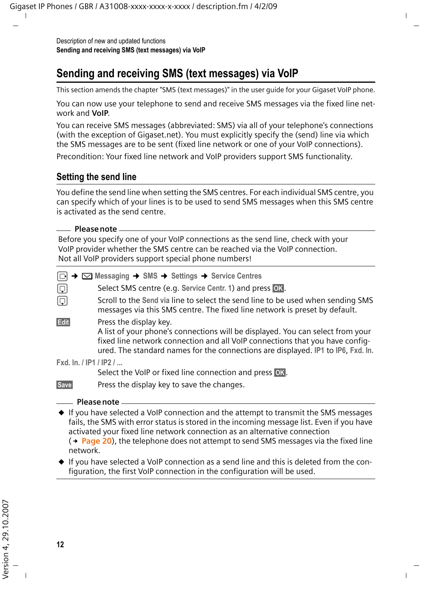# <span id="page-11-0"></span>**Sending and receiving SMS (text messages) via VoIP**

This section amends the chapter "SMS (text messages)" in the user guide for your Gigaset VoIP phone.

You can now use your telephone to send and receive SMS messages via the fixed line network and **VoIP**.

You can receive SMS messages (abbreviated: SMS) via all of your telephone's connections (with the exception of Gigaset.net). You must explicitly specify the (send) line via which the SMS messages are to be sent (fixed line network or one of your VoIP connections).

Precondition: Your fixed line network and VoIP providers support SMS functionality.

## **Setting the send line**

You define the send line when setting the SMS centres. For each individual SMS centre, you can specify which of your lines is to be used to send SMS messages when this SMS centre is activated as the send centre.

|  | Please note |  |
|--|-------------|--|
|--|-------------|--|

Before you specify one of your VoIP connections as the send line, check with your VoIP provider whether the SMS centre can be reached via the VoIP connection. Not all VoIP providers support special phone numbers!

|                                                 | $\rightarrow \square$ Messaging $\rightarrow$ SMS $\rightarrow$ Settings $\rightarrow$ Service Centres                                                                                                                                                                       |
|-------------------------------------------------|------------------------------------------------------------------------------------------------------------------------------------------------------------------------------------------------------------------------------------------------------------------------------|
| $\textcolor{red}{\textcolor{blue}{\textbf{Q}}}$ | Select SMS centre (e.g. Service Centr. 1) and press OK.                                                                                                                                                                                                                      |
| $\overline{\mathbb{Q}}$                         | Scroll to the Send via line to select the send line to be used when sending SMS<br>messages via this SMS centre. The fixed line network is preset by default.                                                                                                                |
| Edit                                            | Press the display key.<br>A list of your phone's connections will be displayed. You can select from your<br>fixed line network connection and all VoIP connections that you have config-<br>ured. The standard names for the connections are displayed. IP1 to IP6, Fxd. In. |
| Fxd. In. / IP1 / IP2 /                          | Select the VoIP or fixed line connection and press OK.                                                                                                                                                                                                                       |
| <b>Save</b>                                     | Press the display key to save the changes.                                                                                                                                                                                                                                   |

#### **Please note**

- $\bullet$  If you have selected a VoIP connection and the attempt to transmit the SMS messages fails, the SMS with error status is stored in the incoming message list. Even if you have [activated you](#page-19-0)r fixed line network connection as an alternative connection (£ **Page 20**), the telephone does not attempt to send SMS messages via the fixed line network.
- $\blacklozenge$  If you have selected a VoIP connection as a send line and this is deleted from the configuration, the first VoIP connection in the configuration will be used.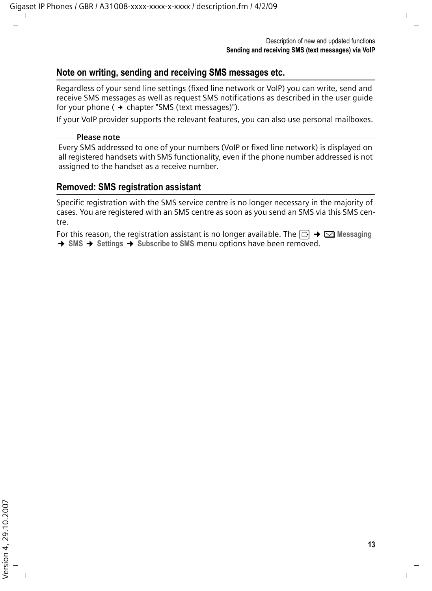### **Note on writing, sending and receiving SMS messages etc.**

Regardless of your send line settings (fixed line network or VoIP) you can write, send and receive SMS messages as well as request SMS notifications as described in the user guide for your phone ( $\rightarrow$  chapter "SMS (text messages)").

If your VoIP provider supports the relevant features, you can also use personal mailboxes.

#### **Please note**

Every SMS addressed to one of your numbers (VoIP or fixed line network) is displayed on all registered handsets with SMS functionality, even if the phone number addressed is not assigned to the handset as a receive number.

### **Removed: SMS registration assistant**

Specific registration with the SMS service centre is no longer necessary in the majority of cases. You are registered with an SMS centre as soon as you send an SMS via this SMS centre.

For this reason, the registration assistant is no longer available. The  $\Box \rightarrow \Box$  Messaging  $\rightarrow$  **SMS → Settings → Subscribe to SMS menu options have been removed.**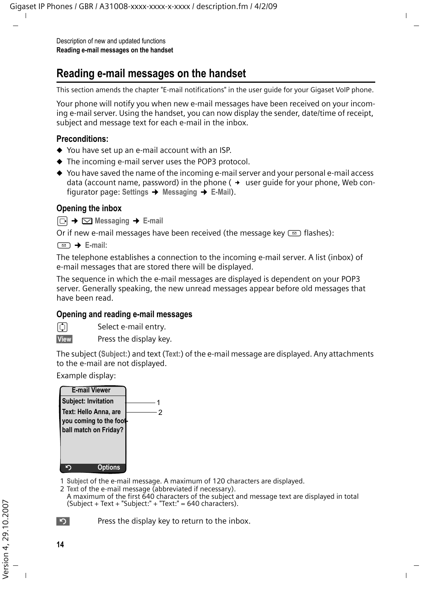# <span id="page-13-0"></span>**Reading e-mail messages on the handset**

This section amends the chapter "E-mail notifications" in the user guide for your Gigaset VoIP phone.

Your phone will notify you when new e-mail messages have been received on your incoming e-mail server. Using the handset, you can now display the sender, date/time of receipt, subject and message text for each e-mail in the inbox.

### **Preconditions:**

- $\blacklozenge$  You have set up an e-mail account with an ISP.
- $\blacklozenge$  The incoming e-mail server uses the POP3 protocol.
- $\blacklozenge$  You have saved the name of the incoming e-mail server and your personal e-mail access data (account name, password) in the phone  $($   $\rightarrow$  user guide for your phone, Web configurator page: **Settings** ¢ **Messaging** ¢ **E-Mail**).

### **Opening the inbox**

 $\Box \rightarrow \Box$  Messaging  $\rightarrow$  E-mail

Or if new e-mail messages have been received (the message key  $\boxed{\circ}$  flashes):

<sup>f</sup>¢**E-mail:**

The telephone establishes a connection to the incoming e-mail server. A list (inbox) of e-mail messages that are stored there will be displayed.

The sequence in which the e-mail messages are displayed is dependent on your POP3 server. Generally speaking, the new unread messages appear before old messages that have been read.

### <span id="page-13-1"></span>**Opening and reading e-mail messages**

**q** Select e-mail entry.

View Press the display key.

The subject (**Subject:**) and text (**Text:**) of the e-mail message are displayed. Any attachments to the e-mail are not displayed.

Example display:



1 **Subject** of the e-mail message. A maximum of 120 characters are displayed.

- 2 **Text** of the e-mail message (abbreviated if necessary). A maximum of the first 640 characters of the subject and message text are displayed in total  $(Subject + Text + "Subject:" + "Text:" = 640 characters).$
- **EXECUTE:** Press the display key to return to the inbox.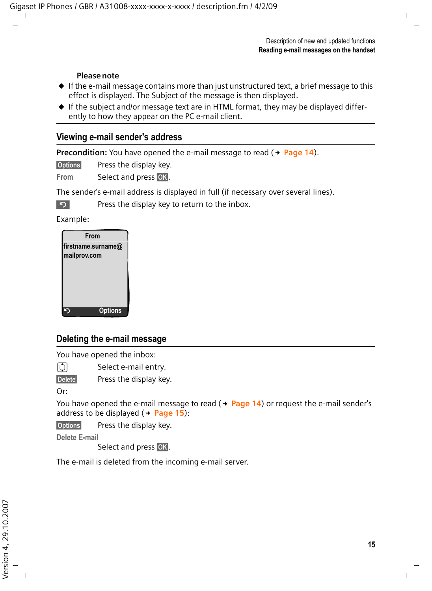### **Please note**

- $\blacklozenge$  If the e-mail message contains more than just unstructured text, a brief message to this effect is displayed. The Subject of the message is then displayed.
- $\bullet$  If the subject and/or message text are in HTML format, they may be displayed differently to how they appear on the PC e-mail client.

### <span id="page-14-0"></span>**Viewing e-mail sender's address**

**Precondition:** You have opened the e-mail message to read ( $\rightarrow$  **[Page 14](#page-13-1)**).

**Options** Press the display key.

From Select and press **OK** 

The sender's e-mail address is displayed in full (if necessary over several lines).



**Press the display key to return to the inbox.** 

Example:

|              | From               |
|--------------|--------------------|
|              | firstname.surname@ |
| mailprov.com |                    |
|              |                    |
|              |                    |
|              |                    |
|              |                    |
|              | <b>Options</b>     |

## **Deleting the e-mail message**

You have opened the inbox:

c Select e-mail entry.

Delete Press the display key.

Or:

You have opened the e-[mail message](#page-14-0) to read  $($   $\rightarrow$  [Page 14](#page-13-1)) or request the e-mail sender's address to be displayed ( $\rightarrow$  **Page 15**):

**Options** Press the display key.

**Delete E-mail** 

Select and press OK.

The e-mail is deleted from the incoming e-mail server.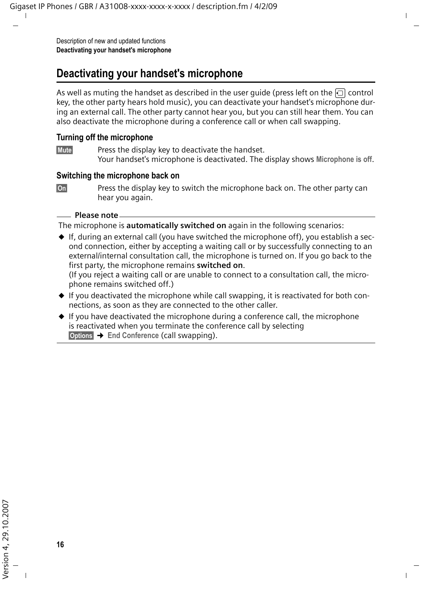# <span id="page-15-0"></span>**Deactivating your handset's microphone**

As well as muting the handset as described in the user quide (press left on the  $\Box$  control key, the other party hears hold music), you can deactivate your handset's microphone during an external call. The other party cannot hear you, but you can still hear them. You can also deactivate the microphone during a conference call or when call swapping.

### **Turning off the microphone**

Mute Press the display key to deactivate the handset. Your handset's microphone is deactivated. The display shows **Microphone is off**.

#### **Switching the microphone back on**

**Son** Press the display key to switch the microphone back on. The other party can hear you again.

### **Please note**

The microphone is **automatically switched on** again in the following scenarios:

 $\blacklozenge$  If, during an external call (you have switched the microphone off), you establish a second connection, either by accepting a waiting call or by successfully connecting to an external/internal consultation call, the microphone is turned on. If you go back to the first party, the microphone remains **switched on**.

(If you reject a waiting call or are unable to connect to a consultation call, the microphone remains switched off.)

- $\blacklozenge$  If you deactivated the microphone while call swapping, it is reactivated for both connections, as soon as they are connected to the other caller.
- $\blacklozenge$  If you have deactivated the microphone during a conference call, the microphone is reactivated when you terminate the conference call by selecting §Options§ ¢ **End Conference** (call swapping).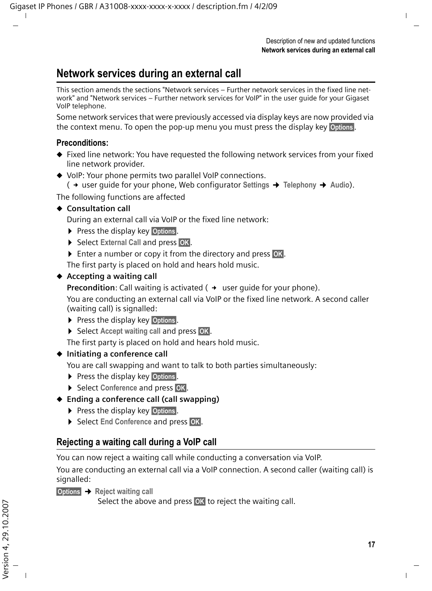# <span id="page-16-0"></span>**Network services during an external call**

This section amends the sections "Network services – Further network services in the fixed line network" and "Network services – Further network services for VoIP" in the user guide for your Gigaset VoIP telephone.

Some network services that were previously accessed via display keys are now provided via the context menu. To open the pop-up menu you must press the display key Options.

### **Preconditions:**

- ◆ Fixed line network: You have requested the following network services from your fixed line network provider.
- ◆ VoIP: Your phone permits two parallel VoIP connections.
	- ( £ user guide for your phone, Web configurator **Settings** ¢ **Telephony** ¢ **Audio**).

The following functions are affected

### ◆ Consultation call

During an external call via VoIP or the fixed line network:

- $\triangleright$  Press the display key Options.
- ▶ Select External Call and press **OK**.
- ▶ Enter a number or copy it from the directory and press OK.

The first party is placed on hold and hears hold music.

### ◆ Accepting a waiting call

**Precondition**: Call waiting is activated  $($   $\rightarrow$  user quide for your phone).

You are conducting an external call via VoIP or the fixed line network. A second caller (waiting call) is signalled:

- ▶ Press the display key Options.
- ▶ Select Accept waiting call and press OK.

The first party is placed on hold and hears hold music.

### ◆ Initiating a conference call

You are call swapping and want to talk to both parties simultaneously:

- ▶ Press the display key Options.
- ▶ Select Conference and press OK.
- ◆ Ending a conference call (call swapping)
	- $\triangleright$  Press the display key Options.
	- ▶ Select End Conference and press OK.

## **Rejecting a waiting call during a VoIP call**

You can now reject a waiting call while conducting a conversation via VoIP.

You are conducting an external call via a VoIP connection. A second caller (waiting call) is signalled:

§Options§¢**Reject waiting call** 

Select the above and press **OK** to reject the waiting call.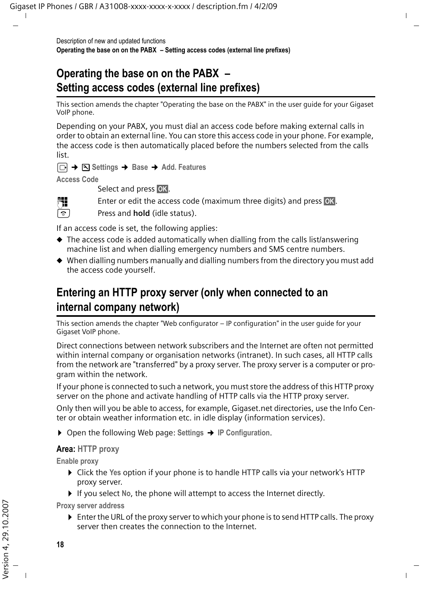# <span id="page-17-2"></span><span id="page-17-0"></span>**Operating the base on on the PABX – Setting access codes (external line prefixes)**

This section amends the chapter "Operating the base on the PABX" in the user guide for your Gigaset VoIP phone.

Depending on your PABX, you must dial an access code before making external calls in order to obtain an external line. You can store this access code in your phone. For example, the access code is then automatically placed before the numbers selected from the calls list.

<sup>v</sup>¢ <sup>Ð</sup> **Settings** ¢**Base** ¢**Add. Features**

**Access Code**

Select and press **OK**.

FI Enter or edit the access code (maximum three digits) and press OK.

a Press and **hold** (idle status).

If an access code is set, the following applies:

- $\triangle$  The access code is added automatically when dialling from the calls list/answering machine list and when dialling emergency numbers and SMS centre numbers.
- $\blacklozenge$  When dialling numbers manually and dialling numbers from the directory you must add the access code yourself.

# <span id="page-17-1"></span>**Entering an HTTP proxy server (only when connected to an internal company network)**

This section amends the chapter "Web configurator – IP configuration" in the user guide for your Gigaset VoIP phone.

Direct connections between network subscribers and the Internet are often not permitted within internal company or organisation networks (intranet). In such cases, all HTTP calls from the network are "transferred" by a proxy server. The proxy server is a computer or program within the network.

If your phone is connected to such a network, you must store the address of this HTTP proxy server on the phone and activate handling of HTTP calls via the HTTP proxy server.

Only then will you be able to access, for example, Gigaset.net directories, use the Info Center or obtain weather information etc. in idle display (information services).

▶ Open the following Web page: Settings → IP Configuration.

### **Area: HTTP proxy**

**Enable proxy**

- ▶ Click the Yes option if your phone is to handle HTTP calls via your network's HTTP proxy server.
- ▶ If you select No, the phone will attempt to access the Internet directly.

**Proxy server address**

 $\triangleright$  Enter the URL of the proxy server to which your phone is to send HTTP calls. The proxy server then creates the connection to the Internet.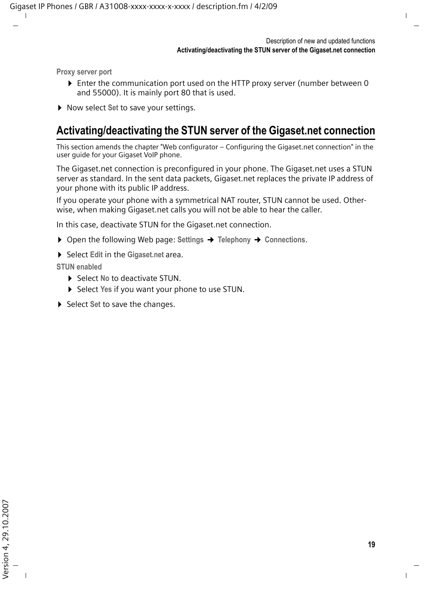**Proxy server port**

- ▶ Enter the communication port used on the HTTP proxy server (number between 0 and 55000). It is mainly port 80 that is used.
- ▶ Now select Set to save your settings.

# <span id="page-18-0"></span>**Activating/deactivating the STUN server of the Gigaset.net connection**

This section amends the chapter "Web configurator – Configuring the Gigaset.net connection" in the user guide for your Gigaset VoIP phone.

The Gigaset.net connection is preconfigured in your phone. The Gigaset.net uses a STUN server as standard. In the sent data packets, Gigaset.net replaces the private IP address of your phone with its public IP address.

If you operate your phone with a symmetrical NAT router, STUN cannot be used. Otherwise, when making Gigaset.net calls you will not be able to hear the caller.

In this case, deactivate STUN for the Gigaset.net connection.

- $\triangleright$  Open the following Web page: Settings  $\rightarrow$  Telephony  $\rightarrow$  Connections.
- ¤ Select **Edit** in the **Gigaset.net** area.

**STUN enabled**

- ▶ Select No to deactivate STUN.
- ▶ Select Yes if you want your phone to use STUN.
- ▶ Select Set to save the changes.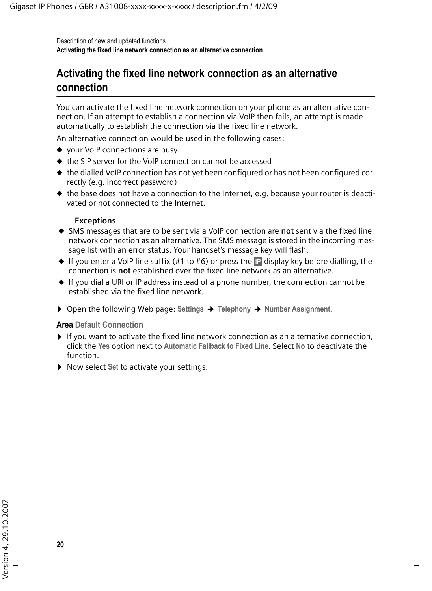# <span id="page-19-0"></span>**Activating the fixed line network connection as an alternative connection**

You can activate the fixed line network connection on your phone as an alternative connection. If an attempt to establish a connection via VoIP then fails, an attempt is made automatically to establish the connection via the fixed line network.

An alternative connection would be used in the following cases:

- ◆ your VoIP connections are busy
- $\blacklozenge$  the SIP server for the VoIP connection cannot be accessed
- $\triangleq$  the dialled VoIP connection has not yet been configured or has not been configured correctly (e.g. incorrect password)
- $\blacklozenge$  the base does not have a connection to the Internet, e.g. because your router is deactivated or not connected to the Internet.

#### **Exceptions**

- ◆ SMS messages that are to be sent via a VoIP connection are **not** sent via the fixed line network connection as an alternative. The SMS message is stored in the incoming message list with an error status. Your handset's message key will flash.
- $\triangleq$  If you enter a VoIP line suffix (#1 to #6) or press the **P** display key before dialling, the connection is **not** established over the fixed line network as an alternative.
- $\blacklozenge$  If you dial a URI or IP address instead of a phone number, the connection cannot be established via the fixed line network.
- ▶ Open the following Web page: Settings → Telephony → Number Assignment.

#### **Area Default Connection**

- $\blacktriangleright$  If you want to activate the fixed line network connection as an alternative connection, click the **Yes** option next to **Automatic Fallback to Fixed Line**. Select **No** to deactivate the function.
- ▶ Now select Set to activate your settings.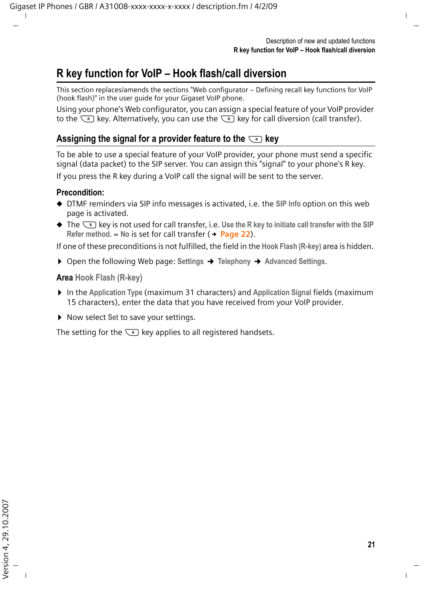# <span id="page-20-0"></span>**R key function for VoIP – Hook flash/call diversion**

This section replaces/amends the sections "Web configurator – Defining recall key functions for VoIP (hook flash)" in the user guide for your Gigaset VoIP phone.

Using your phone's Web configurator, you can assign a special feature of your VoIP provider to the  $\overline{\mathbb{S}}$  key. Alternatively, you can use the  $\overline{\mathbb{S}}$  key for call diversion (call transfer).

# **Assigning the signal for a provider feature to the**  $\sqrt{3}$  **key**

To be able to use a special feature of your VoIP provider, your phone must send a specific signal (data packet) to the SIP server. You can assign this "signal" to your phone's R key.

If you press the R key during a VoIP call the signal will be sent to the server.

### **Precondition:**

- u DTMF reminders via SIP info messages is activated, i.e. the **SIP Info** option on this web page is activated.
- $\blacklozenge$  The  $\overline{\mathbb{C}^n}$  key is not used for call transfer, i.e. Use the R key to initiate call transfer with the SIP Refer method.  $=$  No is set for call transfer ( $\rightarrow$  **[Page 22](#page-21-0)**).

If one of these preconditions is not fulfilled, the field in the **Hook Flash (R-key)** area is hidden.

 $\triangleright$  Open the following Web page: Settings  $\rightarrow$  Telephony  $\rightarrow$  Advanced Settings.

**Area Hook Flash (R-key)**

- ¤ In the **Application Type** (maximum 31 characters) and **Application Signal** fields (maximum 15 characters), enter the data that you have received from your VoIP provider.
- ▶ Now select Set to save your settings.

The setting for the  $\overline{S}$  key applies to all registered handsets.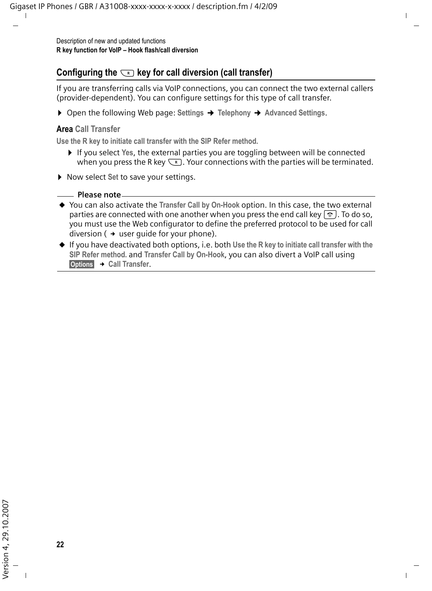## <span id="page-21-0"></span>**Configuring the** S **key for call diversion (call transfer)**

If you are transferring calls via VoIP connections, you can connect the two external callers (provider-dependent). You can configure settings for this type of call transfer.

**▶ Open the following Web page: Settings → Telephony → Advanced Settings.** 

### **Area Call Transfer**

**Use the R key to initiate call transfer with the SIP Refer method.**

- ▶ If you select Yes, the external parties you are toggling between will be connected when you press the R key  $\overline{\binom{n}{k}}$ . Your connections with the parties will be terminated.
- ▶ Now select Set to save your settings.

#### **Please note**

- ◆ You can also activate the Transfer Call by On-Hook option. In this case, the two external parties are connected with one another when you press the end call key  $\sqrt{\infty}$ . To do so, you must use the Web configurator to define the preferred protocol to be used for call diversion ( $\rightarrow$  user quide for your phone).
- ◆ If you have deactivated both options, i.e. both Use the R key to initiate call transfer with the **SIP Refer method.** and **Transfer Call by On-Hook**, you can also divert a VoIP call using §Options§ £ **Call Transfer**.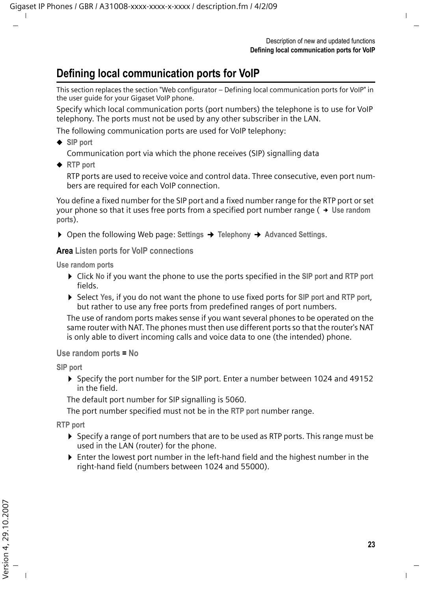# <span id="page-22-0"></span>**Defining local communication ports for VoIP**

This section replaces the section "Web configurator – Defining local communication ports for VoIP" in the user guide for your Gigaset VoIP phone.

Specify which local communication ports (port numbers) the telephone is to use for VoIP telephony. The ports must not be used by any other subscriber in the LAN.

The following communication ports are used for VoIP telephony:

◆ SIP port

Communication port via which the phone receives (SIP) signalling data

◆ RTP port

RTP ports are used to receive voice and control data. Three consecutive, even port numbers are required for each VoIP connection.

You define a fixed number for the SIP port and a fixed number range for the RTP port or set your phone so that it uses free ports from a specified port number range ( $\rightarrow$  Use random **ports**).

▶ Open the following Web page: Settings → Telephony → Advanced Settings.

**Area Listen ports for VoIP connections**

**Use random ports**

- ¤ Click **No** if you want the phone to use the ports specified in the **SIP port** and **RTP port** fields.
- ▶ Select Yes, if you do not want the phone to use fixed ports for SIP port and RTP port, but rather to use any free ports from predefined ranges of port numbers.

The use of random ports makes sense if you want several phones to be operated on the same router with NAT. The phones must then use different ports so that the router's NAT is only able to divert incoming calls and voice data to one (the intended) phone.

**Use random ports = No**

**SIP port**

▶ Specify the port number for the SIP port. Enter a number between 1024 and 49152 in the field.

The default port number for SIP signalling is 5060.

The port number specified must not be in the **RTP port** number range.

**RTP port**

- ▶ Specify a range of port numbers that are to be used as RTP ports. This range must be used in the LAN (router) for the phone.
- $\blacktriangleright$  Enter the lowest port number in the left-hand field and the highest number in the right-hand field (numbers between 1024 and 55000).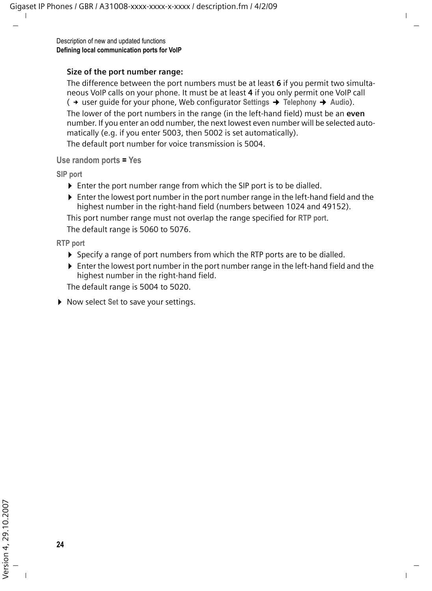### **Size of the port number range:**

The difference between the port numbers must be at least **6** if you permit two simultaneous VoIP calls on your phone. It must be at least **4** if you only permit one VoIP call ( £ user guide for your phone, Web configurator **Settings** ¢ **Telephony** ¢ **Audio**). The lower of the port numbers in the range (in the left-hand field) must be an **even**

number. If you enter an odd number, the next lowest even number will be selected automatically (e.g. if you enter 5003, then 5002 is set automatically).

The default port number for voice transmission is 5004.

#### **Use random ports = Yes**

**SIP port**

- ▶ Enter the port number range from which the SIP port is to be dialled.
- $\triangleright$  Enter the lowest port number in the port number range in the left-hand field and the highest number in the right-hand field (numbers between 1024 and 49152).

This port number range must not overlap the range specified for **RTP port**.

The default range is 5060 to 5076.

**RTP port**

- ▶ Specify a range of port numbers from which the RTP ports are to be dialled.
- $\triangleright$  Enter the lowest port number in the port number range in the left-hand field and the highest number in the right-hand field.

The default range is 5004 to 5020.

▶ Now select Set to save your settings.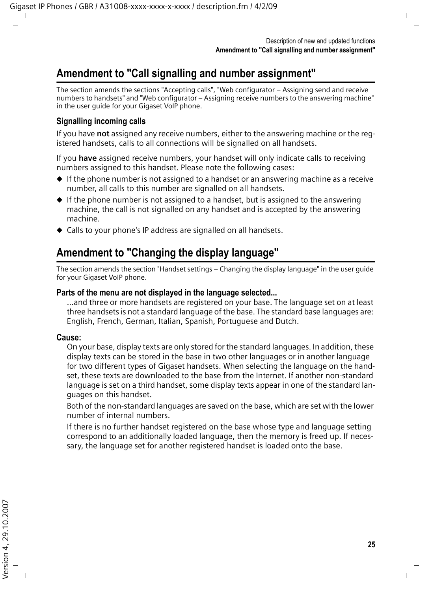# <span id="page-24-0"></span>**Amendment to "Call signalling and number assignment"**

The section amends the sections "Accepting calls", "Web configurator – Assigning send and receive numbers to handsets" and "Web configurator – Assigning receive numbers to the answering machine" in the user guide for your Gigaset VoIP phone.

### **Signalling incoming calls**

If you have **not** assigned any receive numbers, either to the answering machine or the registered handsets, calls to all connections will be signalled on all handsets.

If you **have** assigned receive numbers, your handset will only indicate calls to receiving numbers assigned to this handset. Please note the following cases:

- $\blacklozenge$  If the phone number is not assigned to a handset or an answering machine as a receive number, all calls to this number are signalled on all handsets.
- $\bullet$  If the phone number is not assigned to a handset, but is assigned to the answering machine, the call is not signalled on any handset and is accepted by the answering machine.
- $\triangle$  Calls to your phone's IP address are signalled on all handsets.

# <span id="page-24-1"></span>**Amendment to "Changing the display language"**

The section amends the section "Handset settings – Changing the display language" in the user guide for your Gigaset VoIP phone.

### **Parts of the menu are not displayed in the language selected...**

...and three or more handsets are registered on your base. The language set on at least three handsets is not a standard language of the base. The standard base languages are: English, French, German, Italian, Spanish, Portuguese and Dutch.

### **Cause:**

On your base, display texts are only stored for the standard languages. In addition, these display texts can be stored in the base in two other languages or in another language for two different types of Gigaset handsets. When selecting the language on the handset, these texts are downloaded to the base from the Internet. If another non-standard language is set on a third handset, some display texts appear in one of the standard languages on this handset.

Both of the non-standard languages are saved on the base, which are set with the lower number of internal numbers.

If there is no further handset registered on the base whose type and language setting correspond to an additionally loaded language, then the memory is freed up. If necessary, the language set for another registered handset is loaded onto the base.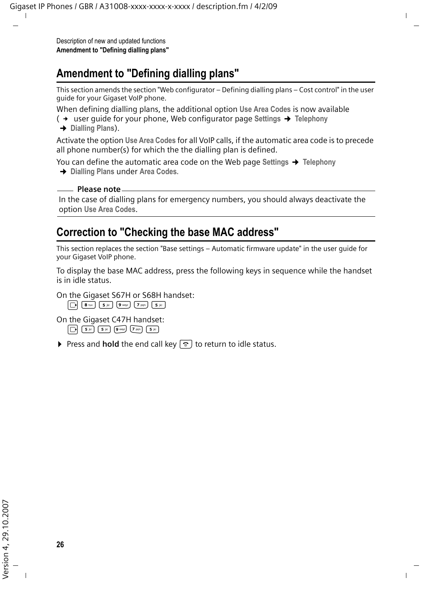# <span id="page-25-0"></span>**Amendment to "Defining dialling plans"**

This section amends the section "Web configurator – Defining dialling plans – Cost control" in the user guide for your Gigaset VoIP phone.

When defining dialling plans, the additional option **Use Area Codes** is now available

- ( £ user guide for your phone, Web configurator page **Settings** ¢ **Telephony**
- ¢ **Dialling Plans**).

Activate the option **Use Area Codes** for all VoIP calls, if the automatic area code is to precede all phone number(s) for which the the dialling plan is defined.

You can define the automatic area code on the Web page Settings  $\rightarrow$  Telephony

¢ **Dialling Plans** under **Area Codes.**

**Please note**

In the case of dialling plans for emergency numbers, you should always deactivate the option **Use Area Codes**.

# <span id="page-25-1"></span>**Correction to "Checking the base MAC address"**

This section replaces the section "Base settings – Automatic firmware update" in the user guide for your Gigaset VoIP phone.

To display the base MAC address, press the following keys in sequence while the handset is in idle status.

On the Gigaset S67H or S68H handset:



On the Gigaset C47H handset: **5** (8 jkl **5** jkl **9** ways) **7** pqrs **5** jkl

Press and **hold** the end call key  $\boxed{\circ}$  to return to idle status.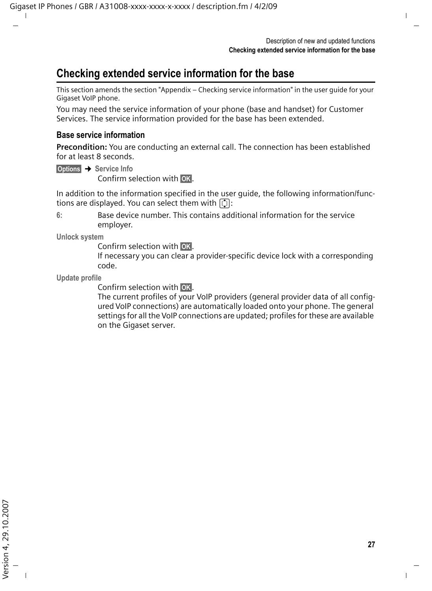# <span id="page-26-0"></span>**Checking extended service information for the base**

This section amends the section "Appendix – Checking service information" in the user guide for your Gigaset VoIP phone.

You may need the service information of your phone (base and handset) for Customer Services. The service information provided for the base has been extended.

### **Base service information**

**Precondition:** You are conducting an external call. The connection has been established for at least 8 seconds.

§Options§¢**Service Info** Confirm selection with **OK**.

In addition to the information specified in the user guide, the following information/functions are displayed. You can select them with  $\lbrack \bullet \rbrack$ :

**6:** Base device number. This contains additional information for the service employer.

**Unlock system**

Confirm selection with OK.

If necessary you can clear a provider-specific device lock with a corresponding code.

**Update profile**

Confirm selection with **OK**.

The current profiles of your VoIP providers (general provider data of all configured VoIP connections) are automatically loaded onto your phone. The general settings for all the VoIP connections are updated; profiles for these are available on the Gigaset server.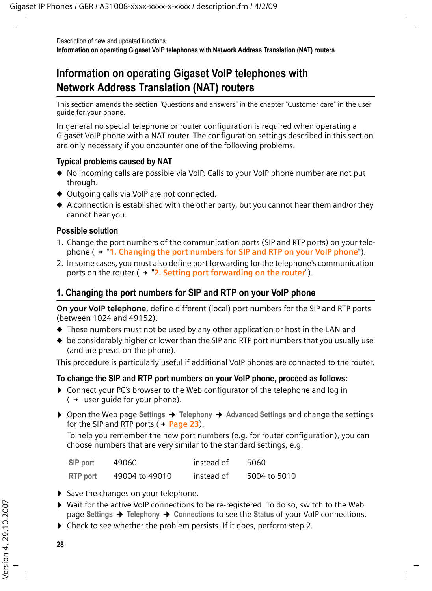# <span id="page-27-0"></span>**Information on operating Gigaset VoIP telephones with Network Address Translation (NAT) routers**

This section amends the section "Questions and answers" in the chapter "Customer care" in the user guide for your phone.

In general no special telephone or router configuration is required when operating a Gigaset VoIP phone with a NAT router. The configuration settings described in this section are only necessary if you encounter one of the following problems.

### **Typical problems caused by NAT**

- $\triangle$  No incoming calls are possible via VoIP. Calls to your VoIP phone number are not put through.
- ◆ Outgoing calls via VoIP are not connected.
- $\triangle$  A connection is established with the other party, but you cannot hear them and/or they cannot hear you.

### **Possible solution**

- 1. Change the port numbers of the communication ports (SIP and RTP ports) on your telephone ( £ "**[1. Changing the port numbers for SIP and RTP on your VoIP phone](#page-27-1)**").
- 2. In some cases, you must also define port forwarding for the telephone's communication ports on the router ( $\rightarrow$  "[2. Setting port forwarding on the router](#page-28-0)").

## <span id="page-27-1"></span>**1. Changing the port numbers for SIP and RTP on your VoIP phone**

**On your VoIP telephone**, define different (local) port numbers for the SIP and RTP ports (between 1024 and 49152).

- $\blacklozenge$  These numbers must not be used by any other application or host in the LAN and
- $\bullet$  be considerably higher or lower than the SIP and RTP port numbers that you usually use (and are preset on the phone).

This procedure is particularly useful if additional VoIP phones are connected to the router.

### **To change the SIP and RTP port numbers on your VoIP phone, proceed as follows:**

- ▶ Connect your PC's browser to the Web configurator of the telephone and log in  $($   $\rightarrow$  user quide for your phone).
- **▶** Open the Web page Settings  $\rightarrow$  Telephony  $\rightarrow$  Advanced Settings and change the settings for the SIP and RTP ports  $(4 \text{ Page } 23)$ .

To help you remember the new port numbers (e.g. for router configuration), you can choose numbers that are very similar to the standard settings, e.g.

| SIP port | 49060          | instead of | 5060         |
|----------|----------------|------------|--------------|
| RTP port | 49004 to 49010 | instead of | 5004 to 5010 |

- ▶ Save the changes on your telephone.
- ▶ Wait for the active VoIP connections to be re-registered. To do so, switch to the Web page Settings → Telephony → Connections to see the Status of your VoIP connections.
- $\triangleright$  Check to see whether the problem persists. If it does, perform step 2.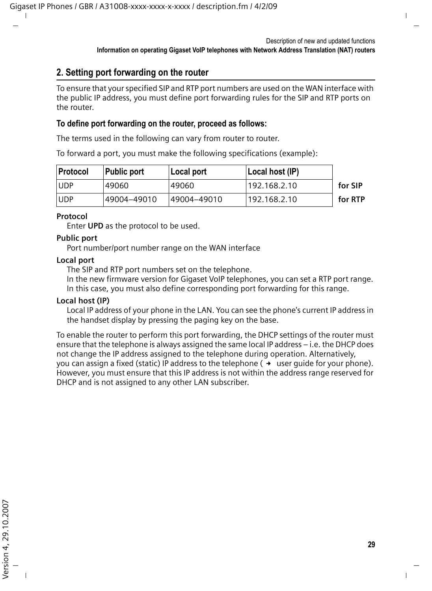## <span id="page-28-0"></span>**2. Setting port forwarding on the router**

To ensure that your specified SIP and RTP port numbers are used on the WAN interface with the public IP address, you must define port forwarding rules for the SIP and RTP ports on the router.

### **To define port forwarding on the router, proceed as follows:**

The terms used in the following can vary from router to router.

To forward a port, you must make the following specifications (example):

| <b>Protocol</b> | Public port | Local port   | Local host (IP) |         |
|-----------------|-------------|--------------|-----------------|---------|
| <b>UDP</b>      | 49060       | 49060        | 192.168.2.10    | for SIP |
| UDP             | 49004-49010 | 49004–49010∣ | 192.168.2.10    | for RTP |

#### **Protocol**

Enter **UPD** as the protocol to be used.

#### **Public port**

Port number/port number range on the WAN interface

#### **Local port**

The SIP and RTP port numbers set on the telephone.

In the new firmware version for Gigaset VoIP telephones, you can set a RTP port range. In this case, you must also define corresponding port forwarding for this range.

#### **Local host (IP)**

Local IP address of your phone in the LAN. You can see the phone's current IP address in the handset display by pressing the paging key on the base.

To enable the router to perform this port forwarding, the DHCP settings of the router must ensure that the telephone is always assigned the same local IP address – i.e. the DHCP does not change the IP address assigned to the telephone during operation. Alternatively, you can assign a fixed (static) IP address to the telephone ( $\rightarrow$  user guide for your phone). However, you must ensure that this IP address is not within the address range reserved for DHCP and is not assigned to any other LAN subscriber.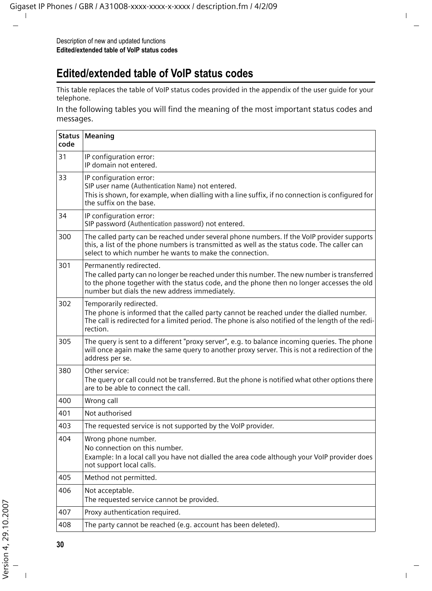# <span id="page-29-0"></span>**Edited/extended table of VoIP status codes**

This table replaces the table of VoIP status codes provided in the appendix of the user guide for your telephone.

In the following tables you will find the meaning of the most important status codes and messages.

| <b>Status</b><br>code | Meaning                                                                                                                                                                                                                                                             |
|-----------------------|---------------------------------------------------------------------------------------------------------------------------------------------------------------------------------------------------------------------------------------------------------------------|
| 31                    | IP configuration error:<br>IP domain not entered.                                                                                                                                                                                                                   |
| 33                    | IP configuration error:<br>SIP user name (Authentication Name) not entered.<br>This is shown, for example, when dialling with a line suffix, if no connection is configured for<br>the suffix on the base.                                                          |
| 34                    | IP configuration error:<br>SIP password (Authentication password) not entered.                                                                                                                                                                                      |
| 300                   | The called party can be reached under several phone numbers. If the VoIP provider supports<br>this, a list of the phone numbers is transmitted as well as the status code. The caller can<br>select to which number he wants to make the connection.                |
| 301                   | Permanently redirected.<br>The called party can no longer be reached under this number. The new number is transferred<br>to the phone together with the status code, and the phone then no longer accesses the old<br>number but dials the new address immediately. |
| 302                   | Temporarily redirected.<br>The phone is informed that the called party cannot be reached under the dialled number.<br>The call is redirected for a limited period. The phone is also notified of the length of the redi-<br>rection.                                |
| 305                   | The query is sent to a different "proxy server", e.g. to balance incoming queries. The phone<br>will once again make the same query to another proxy server. This is not a redirection of the<br>address per se.                                                    |
| 380                   | Other service:<br>The query or call could not be transferred. But the phone is notified what other options there<br>are to be able to connect the call.                                                                                                             |
| 400                   | Wrong call                                                                                                                                                                                                                                                          |
| 401                   | Not authorised                                                                                                                                                                                                                                                      |
| 403                   | The requested service is not supported by the VoIP provider.                                                                                                                                                                                                        |
| 404                   | Wrong phone number.<br>No connection on this number.<br>Example: In a local call you have not dialled the area code although your VoIP provider does<br>not support local calls.                                                                                    |
| 405                   | Method not permitted.                                                                                                                                                                                                                                               |
| 406                   | Not acceptable.<br>The requested service cannot be provided.                                                                                                                                                                                                        |
| 407                   | Proxy authentication required.                                                                                                                                                                                                                                      |
| 408                   | The party cannot be reached (e.g. account has been deleted).                                                                                                                                                                                                        |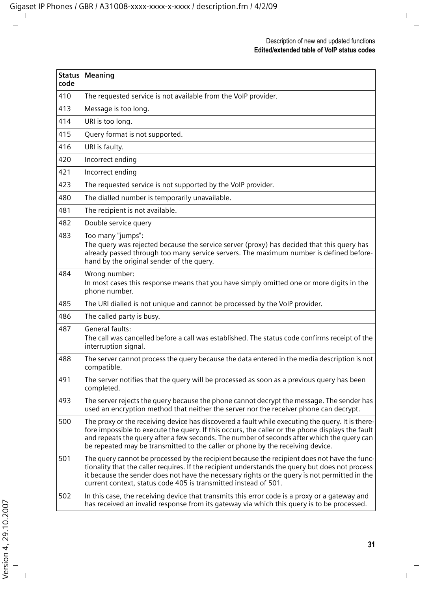| <b>Status</b><br>code | Meaning                                                                                                                                                                                                                                                                                                                                                                              |
|-----------------------|--------------------------------------------------------------------------------------------------------------------------------------------------------------------------------------------------------------------------------------------------------------------------------------------------------------------------------------------------------------------------------------|
| 410                   | The requested service is not available from the VoIP provider.                                                                                                                                                                                                                                                                                                                       |
| 413                   | Message is too long.                                                                                                                                                                                                                                                                                                                                                                 |
| 414                   | URI is too long.                                                                                                                                                                                                                                                                                                                                                                     |
| 415                   | Query format is not supported.                                                                                                                                                                                                                                                                                                                                                       |
| 416                   | URI is faulty.                                                                                                                                                                                                                                                                                                                                                                       |
| 420                   | Incorrect ending                                                                                                                                                                                                                                                                                                                                                                     |
| 421                   | Incorrect ending                                                                                                                                                                                                                                                                                                                                                                     |
| 423                   | The requested service is not supported by the VoIP provider.                                                                                                                                                                                                                                                                                                                         |
| 480                   | The dialled number is temporarily unavailable.                                                                                                                                                                                                                                                                                                                                       |
| 481                   | The recipient is not available.                                                                                                                                                                                                                                                                                                                                                      |
| 482                   | Double service query                                                                                                                                                                                                                                                                                                                                                                 |
| 483                   | Too many "jumps":<br>The query was rejected because the service server (proxy) has decided that this query has<br>already passed through too many service servers. The maximum number is defined before-<br>hand by the original sender of the query.                                                                                                                                |
| 484                   | Wrong number:<br>In most cases this response means that you have simply omitted one or more digits in the<br>phone number.                                                                                                                                                                                                                                                           |
| 485                   | The URI dialled is not unique and cannot be processed by the VoIP provider.                                                                                                                                                                                                                                                                                                          |
| 486                   | The called party is busy.                                                                                                                                                                                                                                                                                                                                                            |
| 487                   | General faults:<br>The call was cancelled before a call was established. The status code confirms receipt of the<br>interruption signal.                                                                                                                                                                                                                                             |
| 488                   | The server cannot process the query because the data entered in the media description is not<br>compatible.                                                                                                                                                                                                                                                                          |
| 491                   | The server notifies that the query will be processed as soon as a previous query has been<br>completed.                                                                                                                                                                                                                                                                              |
| 493                   | The server rejects the query because the phone cannot decrypt the message. The sender has<br>used an encryption method that neither the server nor the receiver phone can decrypt.                                                                                                                                                                                                   |
| 500                   | The proxy or the receiving device has discovered a fault while executing the query. It is there-<br>fore impossible to execute the query. If this occurs, the caller or the phone displays the fault<br>and repeats the query after a few seconds. The number of seconds after which the query can<br>be repeated may be transmitted to the caller or phone by the receiving device. |
| 501                   | The query cannot be processed by the recipient because the recipient does not have the func-<br>tionality that the caller requires. If the recipient understands the query but does not process<br>it because the sender does not have the necessary rights or the query is not permitted in the<br>current context, status code 405 is transmitted instead of 501.                  |
| 502                   | In this case, the receiving device that transmits this error code is a proxy or a gateway and<br>has received an invalid response from its gateway via which this query is to be processed.                                                                                                                                                                                          |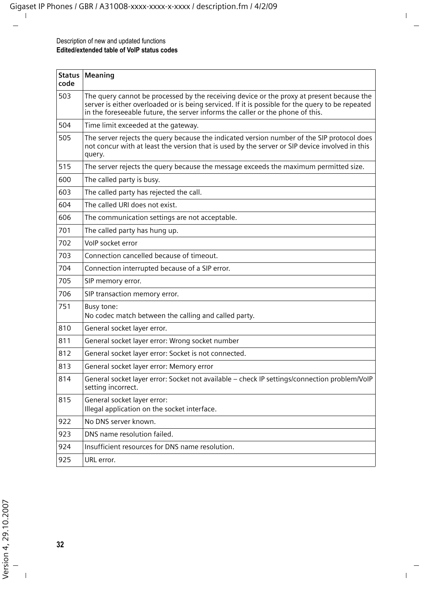#### Description of new and updated functions **Edited/extended table of VoIP status codes**

| <b>Status</b><br>code | Meaning                                                                                                                                                                                                                                                                         |
|-----------------------|---------------------------------------------------------------------------------------------------------------------------------------------------------------------------------------------------------------------------------------------------------------------------------|
| 503                   | The query cannot be processed by the receiving device or the proxy at present because the<br>server is either overloaded or is being serviced. If it is possible for the query to be repeated<br>in the foreseeable future, the server informs the caller or the phone of this. |
| 504                   | Time limit exceeded at the gateway.                                                                                                                                                                                                                                             |
| 505                   | The server rejects the query because the indicated version number of the SIP protocol does<br>not concur with at least the version that is used by the server or SIP device involved in this<br>query.                                                                          |
| 515                   | The server rejects the query because the message exceeds the maximum permitted size.                                                                                                                                                                                            |
| 600                   | The called party is busy.                                                                                                                                                                                                                                                       |
| 603                   | The called party has rejected the call.                                                                                                                                                                                                                                         |
| 604                   | The called URI does not exist.                                                                                                                                                                                                                                                  |
| 606                   | The communication settings are not acceptable.                                                                                                                                                                                                                                  |
| 701                   | The called party has hung up.                                                                                                                                                                                                                                                   |
| 702                   | VoIP socket error                                                                                                                                                                                                                                                               |
| 703                   | Connection cancelled because of timeout.                                                                                                                                                                                                                                        |
| 704                   | Connection interrupted because of a SIP error.                                                                                                                                                                                                                                  |
| 705                   | SIP memory error.                                                                                                                                                                                                                                                               |
| 706                   | SIP transaction memory error.                                                                                                                                                                                                                                                   |
| 751                   | Busy tone:<br>No codec match between the calling and called party.                                                                                                                                                                                                              |
| 810                   | General socket layer error.                                                                                                                                                                                                                                                     |
| 811                   | General socket layer error: Wrong socket number                                                                                                                                                                                                                                 |
| 812                   | General socket layer error: Socket is not connected.                                                                                                                                                                                                                            |
| 813                   | General socket layer error: Memory error                                                                                                                                                                                                                                        |
| 814                   | General socket layer error: Socket not available - check IP settings/connection problem/VoIP<br>setting incorrect.                                                                                                                                                              |
| 815                   | General socket layer error:<br>Illegal application on the socket interface.                                                                                                                                                                                                     |
| 922                   | No DNS server known.                                                                                                                                                                                                                                                            |
| 923                   | DNS name resolution failed.                                                                                                                                                                                                                                                     |
| 924                   | Insufficient resources for DNS name resolution.                                                                                                                                                                                                                                 |
| 925                   | URL error.                                                                                                                                                                                                                                                                      |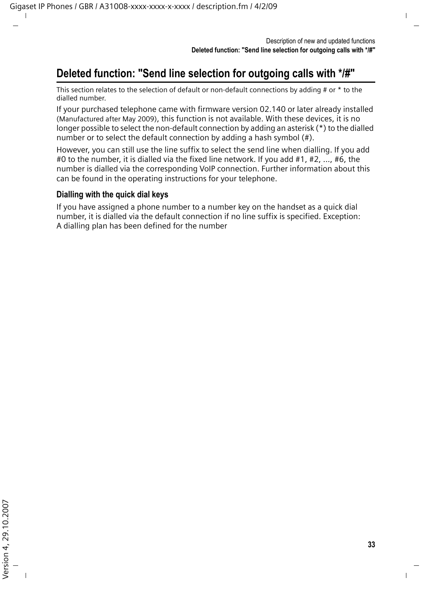# <span id="page-32-0"></span>**Deleted function: "Send line selection for outgoing calls with \*/#"**

This section relates to the selection of default or non-default connections by adding # or  $*$  to the dialled number.

If your purchased telephone came with firmware version 02.140 or later already installed (Manufactured after May 2009), this function is not available. With these devices, it is no longer possible to select the non-default connection by adding an asterisk (\*) to the dialled number or to select the default connection by adding a hash symbol (#).

However, you can still use the line suffix to select the send line when dialling. If you add #0 to the number, it is dialled via the fixed line network. If you add #1, #2, ..., #6, the number is dialled via the corresponding VoIP connection. Further information about this can be found in the operating instructions for your telephone.

### **Dialling with the quick dial keys**

If you have assigned a phone number to a number key on the handset as a quick dial number, it is dialled via the default connection if no line suffix is specified. Exception: A dialling plan has been defined for the number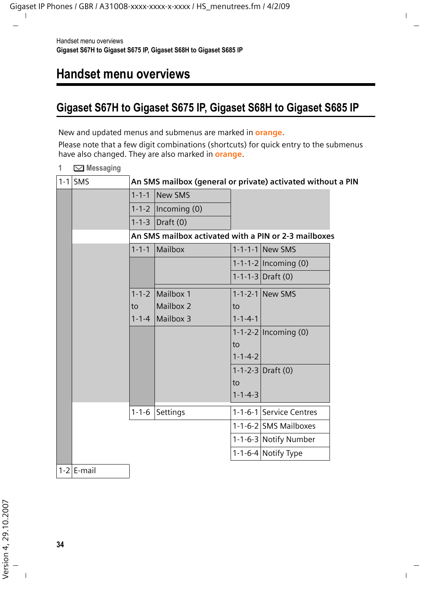# <span id="page-33-0"></span>**Handset menu overviews**

# <span id="page-33-1"></span>**Gigaset S67H to Gigaset S675 IP, Gigaset S68H to Gigaset S685 IP**

New and updated menus and submenus are marked in **orange**.

Please note that a few digit combinations (shortcuts) for quick entry to the submenus have also changed. They are also marked in **orange**.

- 1-1 SMS **An SMS mailbox (general or private) activated without a PIN** 1-1-1 New SMS 1-1-2  $|$ Incoming (0) 1-1-3 Draft (0) **An SMS mailbox activated with a PIN or 2-3 mailboxes** 1-1-1 Mailbox 1-1-1-1 New SMS 1-1-1-2 Incoming (0) 1-1-1-3 Draft (0)  $1 - 1 - 2$ to 1-1-4 Mailhox 1 Mailhox 2 Mailbox 3 1-1-2-1 New SMS to 1-1-4-1 1-1-2-2 Incoming (0) to 1-1-4-2 1-1-2-3 Draft (0) to 1-1-4-3 1-1-6 Settings 1-1-6-1 Service Centres 1-1-6-2 SMS Mailboxes 1-1-6-3 Notify Number 1-1-6-4 Notify Type 1-2 E-mail
- **1 ○** Messaging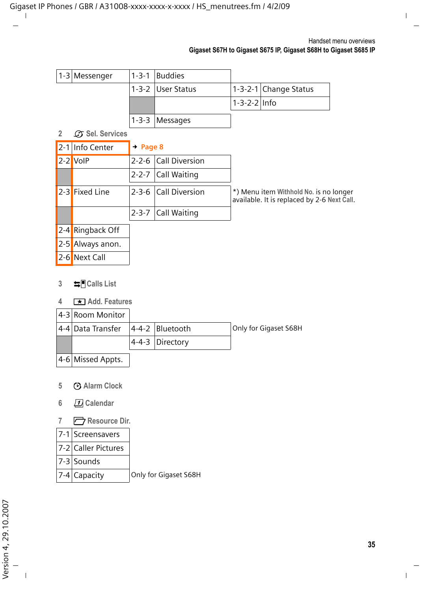#### Handset menu overviews **Gigaset S67H to Gigaset S675 IP, Gigaset S68H to Gigaset S685 IP**

| 1-3 Messenger | 1-3-1 Buddies       |                      |                       |
|---------------|---------------------|----------------------|-----------------------|
|               | 1-3-2   User Status |                      | 1-3-2-1 Change Status |
|               |                     | $1 - 3 - 2 - 2$ Info |                       |
|               | 1-3-3 Messages      |                      |                       |

#### **2** ê**Sel. Services**

| 2-1 Info Center  |             | $\rightarrow$ Page 8 |                                                                                       |  |  |  |  |
|------------------|-------------|----------------------|---------------------------------------------------------------------------------------|--|--|--|--|
| $2-2$ VoIP       | $2 - 2 - 6$ | Call Diversion       |                                                                                       |  |  |  |  |
|                  | $2 - 2 - 7$ | Call Waiting         |                                                                                       |  |  |  |  |
| 2-3 Fixed Line   | $2 - 3 - 6$ | Call Diversion       | *) Menu item Withhold No. is no longer<br>available. It is replaced by 2-6 Next Call. |  |  |  |  |
|                  | $2 - 3 - 7$ | Call Waiting         |                                                                                       |  |  |  |  |
| 2-4 Ringback Off |             |                      |                                                                                       |  |  |  |  |
| 2-5 Always anon. |             |                      |                                                                                       |  |  |  |  |
| 2-6 Next Call    |             |                      |                                                                                       |  |  |  |  |

- **3** Ì **Calls List**
- **4** í**Add. Features**

### 4-3 Room Monitor

| 4-4 Data Transfer 4-4-2 Bluetooth |                 | Only for Gigaset S68H |
|-----------------------------------|-----------------|-----------------------|
|                                   | 4-4-3 Directory |                       |
|                                   |                 |                       |

4-6 Missed Appts.

### **5**  $\odot$  **Alarm Clock**

- **6** ç **Calendar**
- **7** *r* Resource Dir.
- 7-1 Screensavers
- 7-2 Caller Pictures
- 7-3 Sounds
- 7-4 Capacity **Only for Gigaset S68H**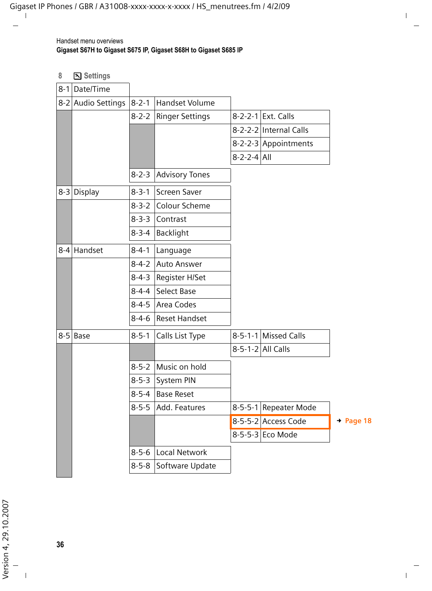Handset menu overviews **Gigaset S67H to Gigaset S675 IP, Gigaset S68H to Gigaset S685 IP**

### **8** Ð **Settings**

|         | 8-1 Date/Time      |             |                        |                     |                        |    |
|---------|--------------------|-------------|------------------------|---------------------|------------------------|----|
|         | 8-2 Audio Settings | $8 - 2 - 1$ | Handset Volume         |                     |                        |    |
|         |                    | $8 - 2 - 2$ | <b>Ringer Settings</b> |                     | 8-2-2-1 Ext. Calls     |    |
|         |                    |             |                        |                     | 8-2-2-2 Internal Calls |    |
|         |                    |             |                        |                     | 8-2-2-3 Appointments   |    |
|         |                    |             |                        | $8 - 2 - 2 - 4$ All |                        |    |
|         |                    | $8 - 2 - 3$ | <b>Advisory Tones</b>  |                     |                        |    |
| $8 - 3$ | Display            | $8 - 3 - 1$ | Screen Saver           |                     |                        |    |
|         |                    | $8 - 3 - 2$ | Colour Scheme          |                     |                        |    |
|         |                    | $8 - 3 - 3$ | Contrast               |                     |                        |    |
|         |                    | $8 - 3 - 4$ | Backlight              |                     |                        |    |
|         | 8-4 Handset        | $8 - 4 - 1$ | Language               |                     |                        |    |
|         |                    | $8 - 4 - 2$ | Auto Answer            |                     |                        |    |
|         |                    | $8 - 4 - 3$ | Register H/Set         |                     |                        |    |
|         |                    | $8 - 4 - 4$ | <b>Select Base</b>     |                     |                        |    |
|         |                    | $8 - 4 - 5$ | Area Codes             |                     |                        |    |
|         |                    | $8 - 4 - 6$ | <b>Reset Handset</b>   |                     |                        |    |
|         | 8-5 Base           | $8 - 5 - 1$ | Calls List Type        |                     | 8-5-1-1 Missed Calls   |    |
|         |                    |             |                        |                     | 8-5-1-2 All Calls      |    |
|         |                    | $8 - 5 - 2$ | Music on hold          |                     |                        |    |
|         |                    | $8 - 5 - 3$ | System PIN             |                     |                        |    |
|         |                    |             | 8-5-4 Base Reset       |                     |                        |    |
|         |                    |             | 8-5-5 Add. Features    | $8 - 5 - 5 - 1$     | Repeater Mode          |    |
|         |                    |             |                        |                     | 8-5-5-2 Access Code    | Pa |
|         |                    |             |                        |                     | 8-5-5-3 Eco Mode       |    |
|         |                    | $8 - 5 - 6$ | Local Network          |                     |                        |    |
|         |                    | $8 - 5 - 8$ | Software Update        |                     |                        |    |

8-5-5-2 Access Code £**[Page 18](#page-17-2)**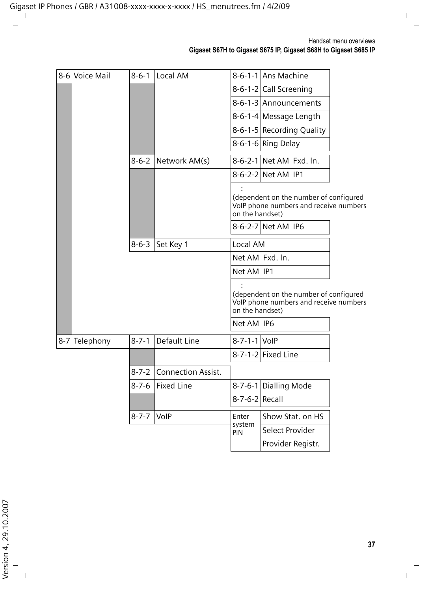|         | 8-6 Voice Mail | $8 - 6 - 1$ | Local AM                  |                 | 8-6-1-1 Ans Machine                                                              |  |
|---------|----------------|-------------|---------------------------|-----------------|----------------------------------------------------------------------------------|--|
|         |                |             |                           |                 | 8-6-1-2 Call Screening                                                           |  |
|         |                |             |                           |                 | 8-6-1-3 Announcements                                                            |  |
|         |                |             |                           |                 | 8-6-1-4 Message Length                                                           |  |
|         |                |             |                           |                 | 8-6-1-5 Recording Quality                                                        |  |
|         |                |             |                           |                 | 8-6-1-6 Ring Delay                                                               |  |
|         |                | $8 - 6 - 2$ | Network AM(s)             |                 | 8-6-2-1 Net AM Fxd. In.                                                          |  |
|         |                |             |                           |                 | 8-6-2-2 Net AM IP1                                                               |  |
|         |                |             |                           | on the handset) | (dependent on the number of configured<br>VoIP phone numbers and receive numbers |  |
|         |                |             |                           |                 | 8-6-2-7 Net AM IP6                                                               |  |
|         |                | $8 - 6 - 3$ | Set Key 1                 | Local AM        |                                                                                  |  |
|         |                |             |                           | Net AM Fxd. In. |                                                                                  |  |
|         |                |             |                           | Net AM IP1      |                                                                                  |  |
|         |                |             |                           | on the handset) | (dependent on the number of configured<br>VoIP phone numbers and receive numbers |  |
|         |                |             |                           | Net AM IP6      |                                                                                  |  |
| $8 - 7$ | Telephony      | $8 - 7 - 1$ | Default Line              | 8-7-1-1 VolP    |                                                                                  |  |
|         |                |             |                           |                 | 8-7-1-2 Fixed Line                                                               |  |
|         |                | $8 - 7 - 2$ | <b>Connection Assist.</b> |                 |                                                                                  |  |
|         |                | 8-7-6       | <b>Fixed Line</b>         | $8 - 7 - 6 - 1$ | <b>Dialling Mode</b>                                                             |  |
|         |                |             |                           | 8-7-6-2 Recall  |                                                                                  |  |
|         |                | $8 - 7 - 7$ | VolP                      | Enter           | Show Stat. on HS                                                                 |  |
|         |                |             |                           | system<br>PIN   | Select Provider                                                                  |  |
|         |                |             |                           |                 | Provider Registr.                                                                |  |
|         |                |             |                           |                 |                                                                                  |  |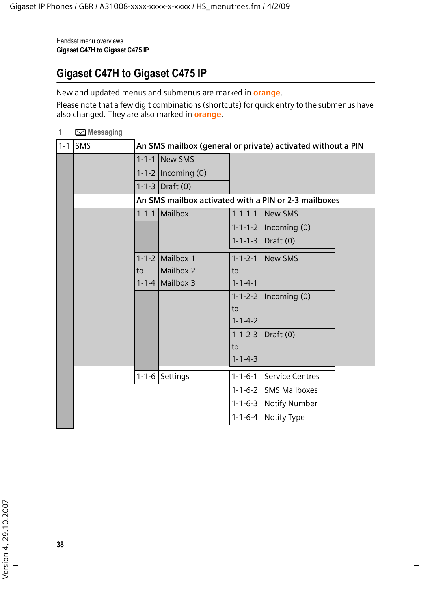# <span id="page-37-0"></span>**Gigaset C47H to Gigaset C475 IP**

New and updated menus and submenus are marked in **orange**.

Please note that a few digit combinations (shortcuts) for quick entry to the submenus have also changed. They are also marked in **orange**.

**1 ○ Messaging** 

| $1 - 1$ | SMS |             |                                                      |                 | An SMS mailbox (general or private) activated without a PIN |  |  |  |
|---------|-----|-------------|------------------------------------------------------|-----------------|-------------------------------------------------------------|--|--|--|
|         |     | $1 - 1 - 1$ | New SMS                                              |                 |                                                             |  |  |  |
|         |     |             | 1-1-2   Incoming $(0)$                               |                 |                                                             |  |  |  |
|         |     |             | $1-1-3$ Draft $(0)$                                  |                 |                                                             |  |  |  |
|         |     |             | An SMS mailbox activated with a PIN or 2-3 mailboxes |                 |                                                             |  |  |  |
|         |     | $1 - 1 - 1$ | Mailbox                                              | $1 - 1 - 1 - 1$ | <b>New SMS</b>                                              |  |  |  |
|         |     |             |                                                      | $1 - 1 - 1 - 2$ | Incoming (0)                                                |  |  |  |
|         |     |             |                                                      | $1 - 1 - 1 - 3$ | Draft (0)                                                   |  |  |  |
|         |     | $1 - 1 - 2$ | Mailbox 1                                            | $1 - 1 - 2 - 1$ | New SMS                                                     |  |  |  |
|         |     | to          | Mailbox 2                                            | to              |                                                             |  |  |  |
|         |     |             | 1-1-4 $\vert$ Mailbox 3                              | $1 - 1 - 4 - 1$ |                                                             |  |  |  |
|         |     |             |                                                      | $1 - 1 - 2 - 2$ | Incoming (0)                                                |  |  |  |
|         |     |             |                                                      | to              |                                                             |  |  |  |
|         |     |             |                                                      | $1 - 1 - 4 - 2$ |                                                             |  |  |  |
|         |     |             |                                                      | $1 - 1 - 2 - 3$ | Draft (0)                                                   |  |  |  |
|         |     |             |                                                      | to              |                                                             |  |  |  |
|         |     |             |                                                      | $1 - 1 - 4 - 3$ |                                                             |  |  |  |
|         |     | $1 - 1 - 6$ | Settings                                             | $1 - 1 - 6 - 1$ | <b>Service Centres</b>                                      |  |  |  |
|         |     |             |                                                      | $1 - 1 - 6 - 2$ | <b>SMS Mailboxes</b>                                        |  |  |  |
|         |     |             |                                                      | $1 - 1 - 6 - 3$ | Notify Number                                               |  |  |  |
|         |     |             |                                                      | $1 - 1 - 6 - 4$ | Notify Type                                                 |  |  |  |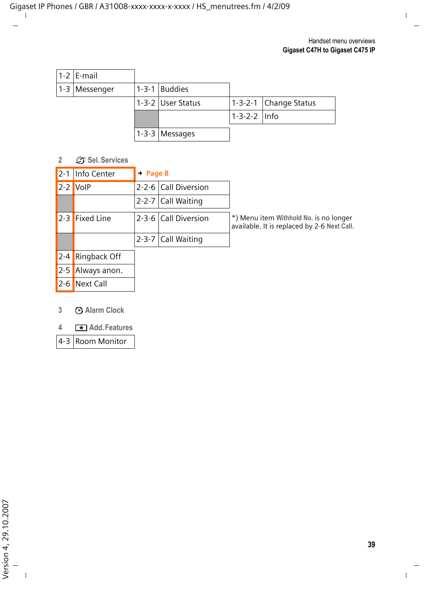| $1-2$   E-mail |                   |                |                       |
|----------------|-------------------|----------------|-----------------------|
| 1-3 Messenger  | 1-3-1 Buddies     |                |                       |
|                | 1-3-2 User Status |                | 1-3-2-1 Change Status |
|                |                   | $1-3-2-2$ Info |                       |
|                |                   |                |                       |
|                | 1-3-3 Messages    |                |                       |

### 2 *e* Sel. Services

| $2 - 1$ | Info Center         | $\rightarrow$ Page 8 |                      |                                                                                       |
|---------|---------------------|----------------------|----------------------|---------------------------------------------------------------------------------------|
|         | $2-2$ VoIP          |                      | 2-2-6 Call Diversion |                                                                                       |
|         |                     |                      | 2-2-7 Call Waiting   |                                                                                       |
| $2 - 3$ | <b>Fixed Line</b>   |                      | 2-3-6 Call Diversion | *) Menu item Withhold No. is no longer<br>available. It is replaced by 2-6 Next Call. |
|         |                     |                      | 2-3-7 Call Waiting   |                                                                                       |
| $2-4$   | <b>Ringback Off</b> |                      |                      |                                                                                       |
| $2-5$   | Always anon.        |                      |                      |                                                                                       |

**3**  $\Theta$  Alarm Clock

2-6 Next Call

**4** í**Add. Features** 

4-3 Room Monitor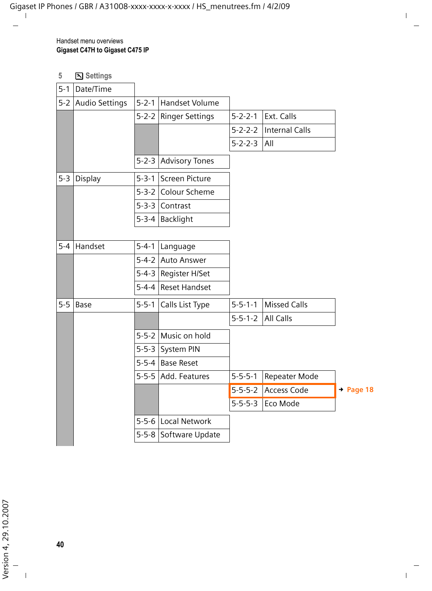Handset menu overviews **Gigaset C47H to Gigaset C475 IP**

### **5** Ð **Settings**

| $5 - 1$ | Date/Time      |             |                        |                 |                       |                       |
|---------|----------------|-------------|------------------------|-----------------|-----------------------|-----------------------|
| $5 - 2$ | Audio Settings | $5 - 2 - 1$ | Handset Volume         |                 |                       |                       |
|         |                | $5 - 2 - 2$ | <b>Ringer Settings</b> | $5 - 2 - 2 - 1$ | Ext. Calls            |                       |
|         |                |             |                        | $5 - 2 - 2 - 2$ | <b>Internal Calls</b> |                       |
|         |                |             |                        | $5 - 2 - 2 - 3$ | All                   |                       |
|         |                | $5 - 2 - 3$ | <b>Advisory Tones</b>  |                 |                       |                       |
| $5 - 3$ | Display        | $5 - 3 - 1$ | Screen Picture         |                 |                       |                       |
|         |                | $5 - 3 - 2$ | Colour Scheme          |                 |                       |                       |
|         |                | $5 - 3 - 3$ | Contrast               |                 |                       |                       |
|         |                | $5 - 3 - 4$ | Backlight              |                 |                       |                       |
|         |                |             |                        |                 |                       |                       |
| $5 - 4$ | Handset        | $5 - 4 - 1$ | Language               |                 |                       |                       |
|         |                |             | 5-4-2 Auto Answer      |                 |                       |                       |
|         |                |             | 5-4-3 Register H/Set   |                 |                       |                       |
|         |                | $5 - 4 - 4$ | <b>Reset Handset</b>   |                 |                       |                       |
| $5 - 5$ | Base           | $5 - 5 - 1$ | Calls List Type        | $5 - 5 - 1 - 1$ | <b>Missed Calls</b>   |                       |
|         |                |             |                        | $5 - 5 - 1 - 2$ | All Calls             |                       |
|         |                | $5 - 5 - 2$ | Music on hold          |                 |                       |                       |
|         |                | $5 - 5 - 3$ | System PIN             |                 |                       |                       |
|         |                |             | 5-5-4 Base Reset       |                 |                       |                       |
|         |                | $5 - 5 - 5$ | Add. Features          | $5 - 5 - 5 - 1$ | Repeater Mode         |                       |
|         |                |             |                        | $5 - 5 - 5 - 2$ | Access Code           | $\rightarrow$ Page 18 |
|         |                |             |                        | $5 - 5 - 5 - 3$ | Eco Mode              |                       |
|         |                |             | 5-5-6 Local Network    |                 |                       |                       |
|         |                |             | 5-5-8 Software Update  |                 |                       |                       |